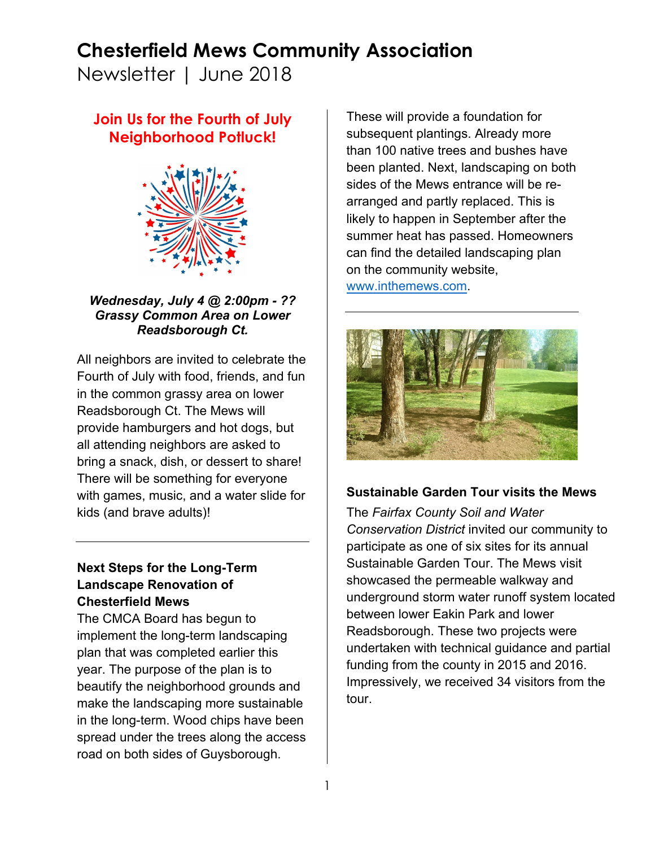## **Chesterfield Mews Community Association**

Newsletter | June 2018

### **Join Us for the Fourth of July Neighborhood Potluck!**



*Wednesday, July 4 @ 2:00pm - ?? Grassy Common Area on Lower Readsborough Ct.*

All neighbors are invited to celebrate the Fourth of July with food, friends, and fun in the common grassy area on lower Readsborough Ct. The Mews will provide hamburgers and hot dogs, but all attending neighbors are asked to bring a snack, dish, or dessert to share! There will be something for everyone with games, music, and a water slide for kids (and brave adults)!

#### **Next Steps for the Long-Term Landscape Renovation of Chesterfield Mews**

The CMCA Board has begun to implement the long-term landscaping plan that was completed earlier this year. The purpose of the plan is to beautify the neighborhood grounds and make the landscaping more sustainable in the long-term. Wood chips have been spread under the trees along the access road on both sides of Guysborough.

These will provide a foundation for subsequent plantings. Already more than 100 native trees and bushes have been planted. Next, landscaping on both sides of the Mews entrance will be rearranged and partly replaced. This is likely to happen in September after the summer heat has passed. Homeowners can find the detailed landscaping plan on the community website, www.inthemews.com.

#### **Sustainable Garden Tour visits the Mews**

The *Fairfax County Soil and Water Conservation District* invited our community to participate as one of six sites for its annual Sustainable Garden Tour. The Mews visit showcased the permeable walkway and underground storm water runoff system located between lower Eakin Park and lower Readsborough. These two projects were undertaken with technical guidance and partial funding from the county in 2015 and 2016. Impressively, we received 34 visitors from the tour.